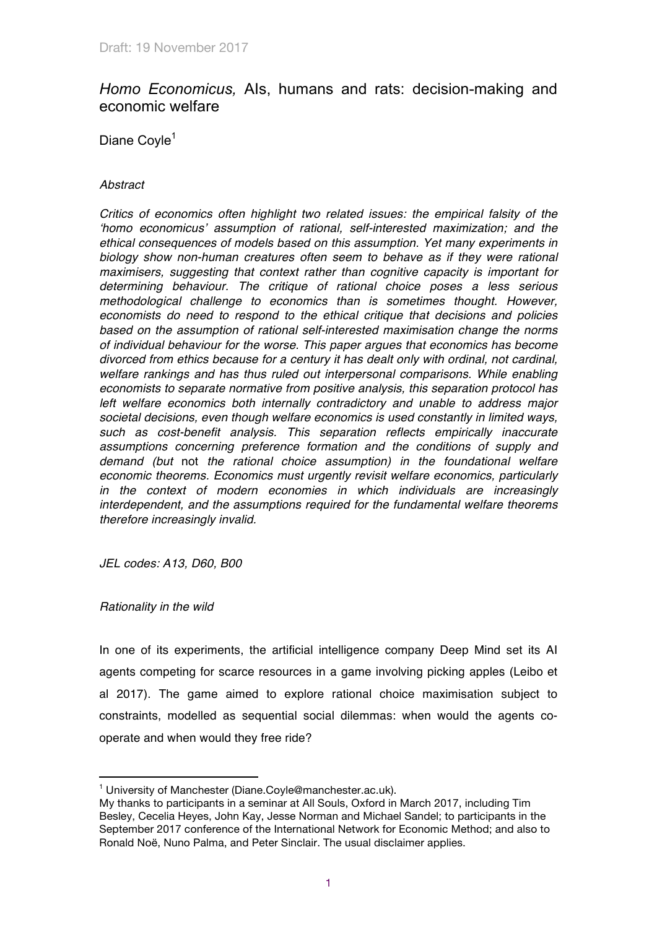# *Homo Economicus,* AIs, humans and rats: decision-making and economic welfare

Diane Coyle<sup>1</sup>

# *Abstract*

*Critics of economics often highlight two related issues: the empirical falsity of the 'homo economicus' assumption of rational, self-interested maximization; and the ethical consequences of models based on this assumption. Yet many experiments in biology show non-human creatures often seem to behave as if they were rational maximisers, suggesting that context rather than cognitive capacity is important for determining behaviour. The critique of rational choice poses a less serious methodological challenge to economics than is sometimes thought. However, economists do need to respond to the ethical critique that decisions and policies based on the assumption of rational self-interested maximisation change the norms of individual behaviour for the worse. This paper argues that economics has become divorced from ethics because for a century it has dealt only with ordinal, not cardinal, welfare rankings and has thus ruled out interpersonal comparisons. While enabling economists to separate normative from positive analysis, this separation protocol has left welfare economics both internally contradictory and unable to address major societal decisions, even though welfare economics is used constantly in limited ways, such as cost-benefit analysis. This separation reflects empirically inaccurate assumptions concerning preference formation and the conditions of supply and demand (but* not *the rational choice assumption) in the foundational welfare economic theorems. Economics must urgently revisit welfare economics, particularly in the context of modern economies in which individuals are increasingly interdependent, and the assumptions required for the fundamental welfare theorems therefore increasingly invalid.*

*JEL codes: A13, D60, B00*

*Rationality in the wild*

In one of its experiments, the artificial intelligence company Deep Mind set its AI agents competing for scarce resources in a game involving picking apples (Leibo et al 2017). The game aimed to explore rational choice maximisation subject to constraints, modelled as sequential social dilemmas: when would the agents cooperate and when would they free ride?

 $\frac{1}{1}$ <sup>1</sup> University of Manchester (Diane.Coyle@manchester.ac.uk).

My thanks to participants in a seminar at All Souls, Oxford in March 2017, including Tim Besley, Cecelia Heyes, John Kay, Jesse Norman and Michael Sandel; to participants in the September 2017 conference of the International Network for Economic Method; and also to Ronald Noë, Nuno Palma, and Peter Sinclair. The usual disclaimer applies.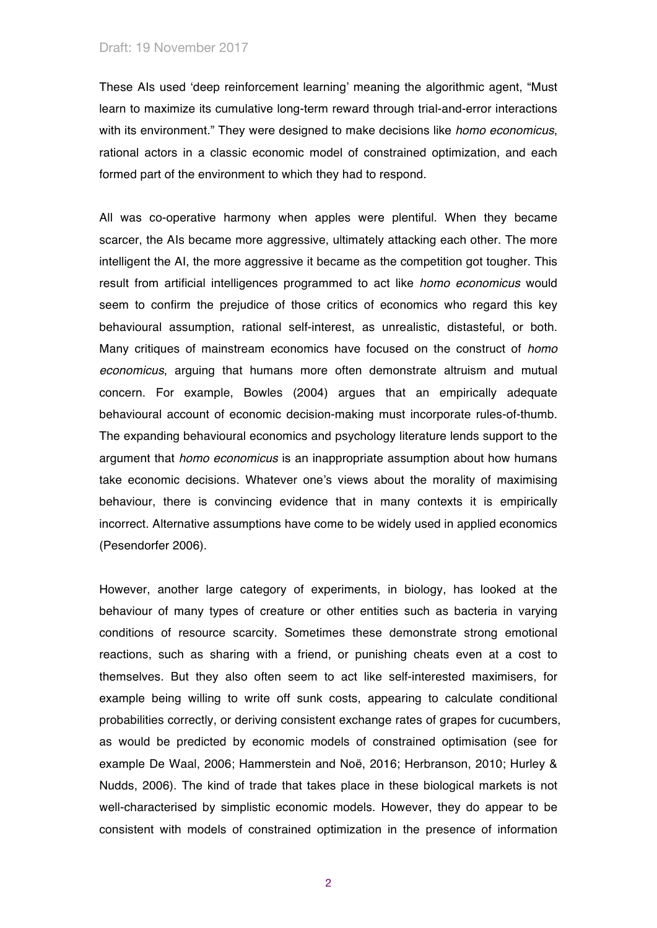These AIs used 'deep reinforcement learning' meaning the algorithmic agent, "Must learn to maximize its cumulative long-term reward through trial-and-error interactions with its environment." They were designed to make decisions like *homo economicus*, rational actors in a classic economic model of constrained optimization, and each formed part of the environment to which they had to respond.

All was co-operative harmony when apples were plentiful. When they became scarcer, the AIs became more aggressive, ultimately attacking each other. The more intelligent the AI, the more aggressive it became as the competition got tougher. This result from artificial intelligences programmed to act like *homo economicus* would seem to confirm the prejudice of those critics of economics who regard this key behavioural assumption, rational self-interest, as unrealistic, distasteful, or both. Many critiques of mainstream economics have focused on the construct of *homo economicus*, arguing that humans more often demonstrate altruism and mutual concern. For example, Bowles (2004) argues that an empirically adequate behavioural account of economic decision-making must incorporate rules-of-thumb. The expanding behavioural economics and psychology literature lends support to the argument that *homo economicus* is an inappropriate assumption about how humans take economic decisions. Whatever one's views about the morality of maximising behaviour, there is convincing evidence that in many contexts it is empirically incorrect. Alternative assumptions have come to be widely used in applied economics (Pesendorfer 2006).

However, another large category of experiments, in biology, has looked at the behaviour of many types of creature or other entities such as bacteria in varying conditions of resource scarcity. Sometimes these demonstrate strong emotional reactions, such as sharing with a friend, or punishing cheats even at a cost to themselves. But they also often seem to act like self-interested maximisers, for example being willing to write off sunk costs, appearing to calculate conditional probabilities correctly, or deriving consistent exchange rates of grapes for cucumbers, as would be predicted by economic models of constrained optimisation (see for example De Waal, 2006; Hammerstein and Noë, 2016; Herbranson, 2010; Hurley & Nudds, 2006). The kind of trade that takes place in these biological markets is not well-characterised by simplistic economic models. However, they do appear to be consistent with models of constrained optimization in the presence of information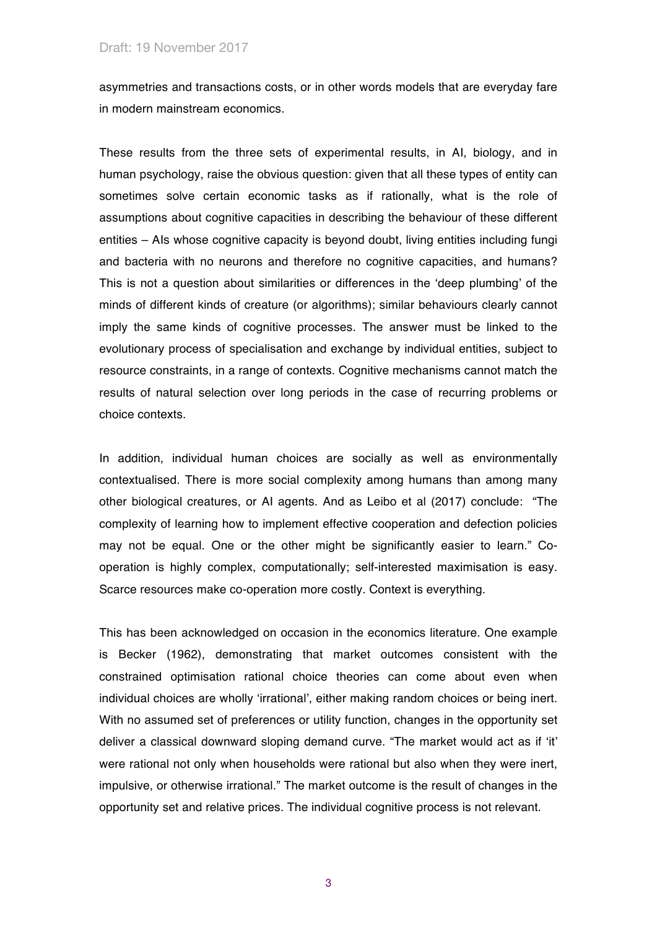asymmetries and transactions costs, or in other words models that are everyday fare in modern mainstream economics.

These results from the three sets of experimental results, in AI, biology, and in human psychology, raise the obvious question: given that all these types of entity can sometimes solve certain economic tasks as if rationally, what is the role of assumptions about cognitive capacities in describing the behaviour of these different entities – AIs whose cognitive capacity is beyond doubt, living entities including fungi and bacteria with no neurons and therefore no cognitive capacities, and humans? This is not a question about similarities or differences in the 'deep plumbing' of the minds of different kinds of creature (or algorithms); similar behaviours clearly cannot imply the same kinds of cognitive processes. The answer must be linked to the evolutionary process of specialisation and exchange by individual entities, subject to resource constraints, in a range of contexts. Cognitive mechanisms cannot match the results of natural selection over long periods in the case of recurring problems or choice contexts.

In addition, individual human choices are socially as well as environmentally contextualised. There is more social complexity among humans than among many other biological creatures, or AI agents. And as Leibo et al (2017) conclude: "The complexity of learning how to implement effective cooperation and defection policies may not be equal. One or the other might be significantly easier to learn." Cooperation is highly complex, computationally; self-interested maximisation is easy. Scarce resources make co-operation more costly. Context is everything.

This has been acknowledged on occasion in the economics literature. One example is Becker (1962), demonstrating that market outcomes consistent with the constrained optimisation rational choice theories can come about even when individual choices are wholly 'irrational', either making random choices or being inert. With no assumed set of preferences or utility function, changes in the opportunity set deliver a classical downward sloping demand curve. "The market would act as if 'it' were rational not only when households were rational but also when they were inert, impulsive, or otherwise irrational." The market outcome is the result of changes in the opportunity set and relative prices. The individual cognitive process is not relevant.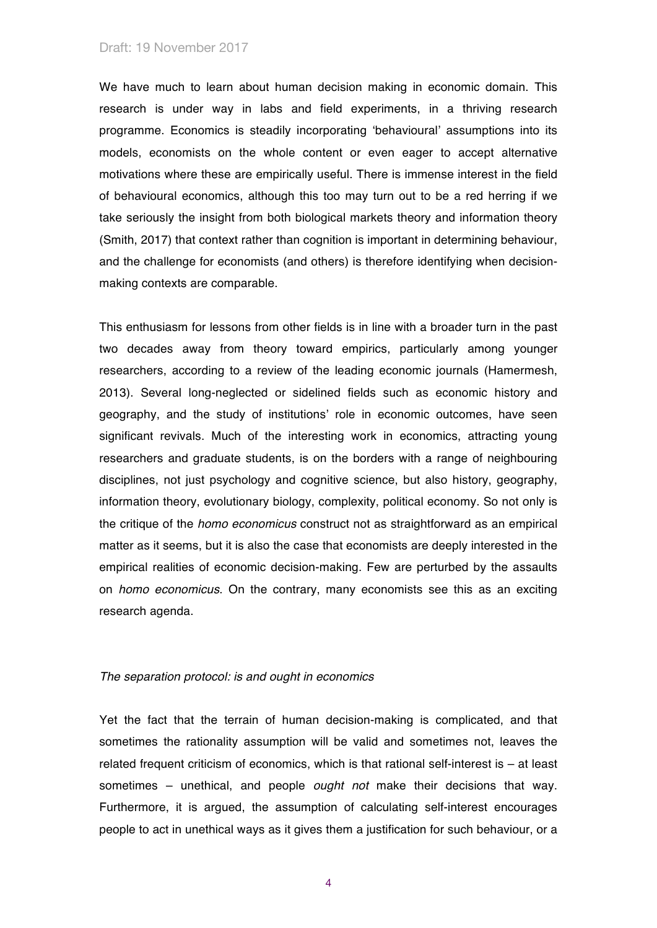We have much to learn about human decision making in economic domain. This research is under way in labs and field experiments, in a thriving research programme. Economics is steadily incorporating 'behavioural' assumptions into its models, economists on the whole content or even eager to accept alternative motivations where these are empirically useful. There is immense interest in the field of behavioural economics, although this too may turn out to be a red herring if we take seriously the insight from both biological markets theory and information theory (Smith, 2017) that context rather than cognition is important in determining behaviour, and the challenge for economists (and others) is therefore identifying when decisionmaking contexts are comparable.

This enthusiasm for lessons from other fields is in line with a broader turn in the past two decades away from theory toward empirics, particularly among younger researchers, according to a review of the leading economic journals (Hamermesh, 2013). Several long-neglected or sidelined fields such as economic history and geography, and the study of institutions' role in economic outcomes, have seen significant revivals. Much of the interesting work in economics, attracting young researchers and graduate students, is on the borders with a range of neighbouring disciplines, not just psychology and cognitive science, but also history, geography, information theory, evolutionary biology, complexity, political economy. So not only is the critique of the *homo economicus* construct not as straightforward as an empirical matter as it seems, but it is also the case that economists are deeply interested in the empirical realities of economic decision-making. Few are perturbed by the assaults on *homo economicus*. On the contrary, many economists see this as an exciting research agenda.

#### *The separation protocol: is and ought in economics*

Yet the fact that the terrain of human decision-making is complicated, and that sometimes the rationality assumption will be valid and sometimes not, leaves the related frequent criticism of economics, which is that rational self-interest is – at least sometimes – unethical, and people *ought not* make their decisions that way. Furthermore, it is argued, the assumption of calculating self-interest encourages people to act in unethical ways as it gives them a justification for such behaviour, or a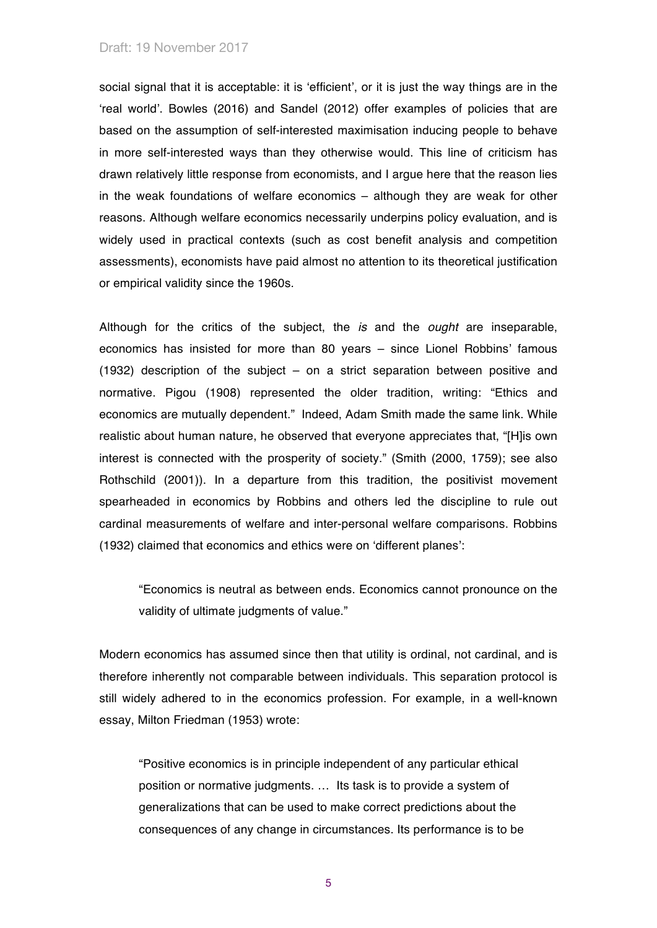social signal that it is acceptable: it is 'efficient', or it is just the way things are in the 'real world'. Bowles (2016) and Sandel (2012) offer examples of policies that are based on the assumption of self-interested maximisation inducing people to behave in more self-interested ways than they otherwise would. This line of criticism has drawn relatively little response from economists, and I argue here that the reason lies in the weak foundations of welfare economics – although they are weak for other reasons. Although welfare economics necessarily underpins policy evaluation, and is widely used in practical contexts (such as cost benefit analysis and competition assessments), economists have paid almost no attention to its theoretical justification or empirical validity since the 1960s.

Although for the critics of the subject, the *is* and the *ought* are inseparable, economics has insisted for more than 80 years – since Lionel Robbins' famous (1932) description of the subject – on a strict separation between positive and normative. Pigou (1908) represented the older tradition, writing: "Ethics and economics are mutually dependent." Indeed, Adam Smith made the same link. While realistic about human nature, he observed that everyone appreciates that, "[H]is own interest is connected with the prosperity of society." (Smith (2000, 1759); see also Rothschild (2001)). In a departure from this tradition, the positivist movement spearheaded in economics by Robbins and others led the discipline to rule out cardinal measurements of welfare and inter-personal welfare comparisons. Robbins (1932) claimed that economics and ethics were on 'different planes':

"Economics is neutral as between ends. Economics cannot pronounce on the validity of ultimate judgments of value."

Modern economics has assumed since then that utility is ordinal, not cardinal, and is therefore inherently not comparable between individuals. This separation protocol is still widely adhered to in the economics profession. For example, in a well-known essay, Milton Friedman (1953) wrote:

"Positive economics is in principle independent of any particular ethical position or normative judgments. … Its task is to provide a system of generalizations that can be used to make correct predictions about the consequences of any change in circumstances. Its performance is to be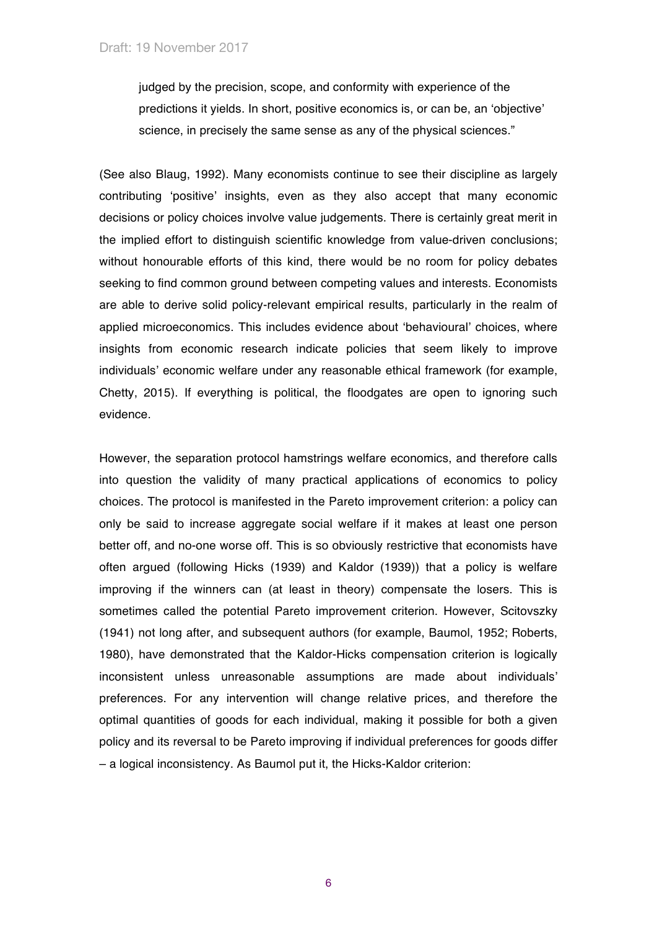judged by the precision, scope, and conformity with experience of the predictions it yields. In short, positive economics is, or can be, an 'objective' science, in precisely the same sense as any of the physical sciences."

(See also Blaug, 1992). Many economists continue to see their discipline as largely contributing 'positive' insights, even as they also accept that many economic decisions or policy choices involve value judgements. There is certainly great merit in the implied effort to distinguish scientific knowledge from value-driven conclusions; without honourable efforts of this kind, there would be no room for policy debates seeking to find common ground between competing values and interests. Economists are able to derive solid policy-relevant empirical results, particularly in the realm of applied microeconomics. This includes evidence about 'behavioural' choices, where insights from economic research indicate policies that seem likely to improve individuals' economic welfare under any reasonable ethical framework (for example, Chetty, 2015). If everything is political, the floodgates are open to ignoring such evidence.

However, the separation protocol hamstrings welfare economics, and therefore calls into question the validity of many practical applications of economics to policy choices. The protocol is manifested in the Pareto improvement criterion: a policy can only be said to increase aggregate social welfare if it makes at least one person better off, and no-one worse off. This is so obviously restrictive that economists have often argued (following Hicks (1939) and Kaldor (1939)) that a policy is welfare improving if the winners can (at least in theory) compensate the losers. This is sometimes called the potential Pareto improvement criterion. However, Scitovszky (1941) not long after, and subsequent authors (for example, Baumol, 1952; Roberts, 1980), have demonstrated that the Kaldor-Hicks compensation criterion is logically inconsistent unless unreasonable assumptions are made about individuals' preferences. For any intervention will change relative prices, and therefore the optimal quantities of goods for each individual, making it possible for both a given policy and its reversal to be Pareto improving if individual preferences for goods differ – a logical inconsistency. As Baumol put it, the Hicks-Kaldor criterion: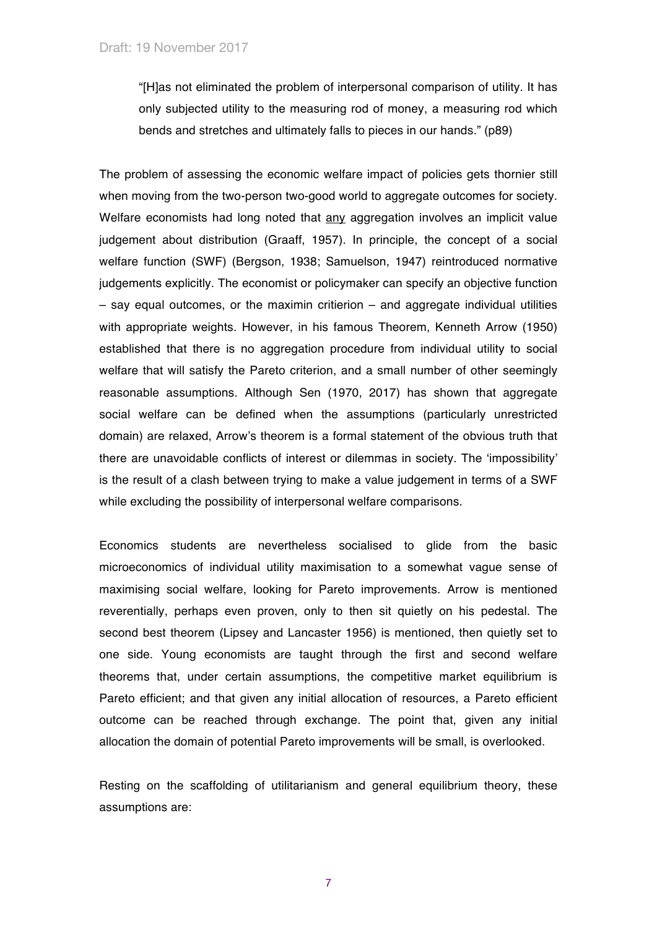"[H]as not eliminated the problem of interpersonal comparison of utility. It has only subjected utility to the measuring rod of money, a measuring rod which bends and stretches and ultimately falls to pieces in our hands." (p89)

The problem of assessing the economic welfare impact of policies gets thornier still when moving from the two-person two-good world to aggregate outcomes for society. Welfare economists had long noted that any aggregation involves an implicit value judgement about distribution (Graaff, 1957). In principle, the concept of a social welfare function (SWF) (Bergson, 1938; Samuelson, 1947) reintroduced normative judgements explicitly. The economist or policymaker can specify an objective function – say equal outcomes, or the maximin critierion – and aggregate individual utilities with appropriate weights. However, in his famous Theorem, Kenneth Arrow (1950) established that there is no aggregation procedure from individual utility to social welfare that will satisfy the Pareto criterion, and a small number of other seemingly reasonable assumptions. Although Sen (1970, 2017) has shown that aggregate social welfare can be defined when the assumptions (particularly unrestricted domain) are relaxed, Arrow's theorem is a formal statement of the obvious truth that there are unavoidable conflicts of interest or dilemmas in society. The 'impossibility' is the result of a clash between trying to make a value judgement in terms of a SWF while excluding the possibility of interpersonal welfare comparisons.

Economics students are nevertheless socialised to glide from the basic microeconomics of individual utility maximisation to a somewhat vague sense of maximising social welfare, looking for Pareto improvements. Arrow is mentioned reverentially, perhaps even proven, only to then sit quietly on his pedestal. The second best theorem (Lipsey and Lancaster 1956) is mentioned, then quietly set to one side. Young economists are taught through the first and second welfare theorems that, under certain assumptions, the competitive market equilibrium is Pareto efficient; and that given any initial allocation of resources, a Pareto efficient outcome can be reached through exchange. The point that, given any initial allocation the domain of potential Pareto improvements will be small, is overlooked.

Resting on the scaffolding of utilitarianism and general equilibrium theory, these assumptions are: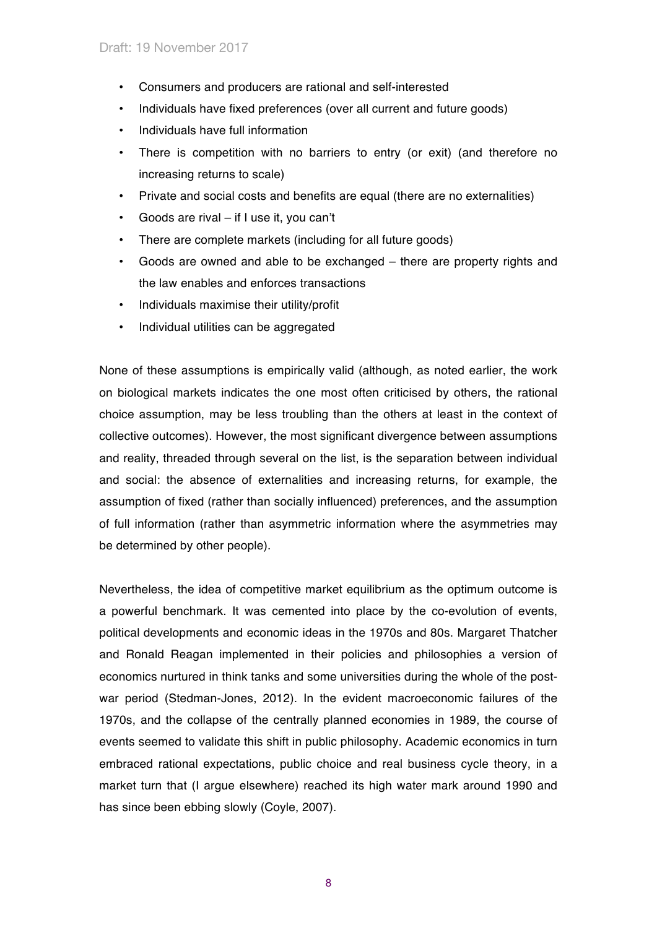- Consumers and producers are rational and self-interested
- Individuals have fixed preferences (over all current and future goods)
- Individuals have full information
- There is competition with no barriers to entry (or exit) (and therefore no increasing returns to scale)
- Private and social costs and benefits are equal (there are no externalities)
- Goods are rival if I use it, you can't
- There are complete markets (including for all future goods)
- Goods are owned and able to be exchanged there are property rights and the law enables and enforces transactions
- Individuals maximise their utility/profit
- Individual utilities can be aggregated

None of these assumptions is empirically valid (although, as noted earlier, the work on biological markets indicates the one most often criticised by others, the rational choice assumption, may be less troubling than the others at least in the context of collective outcomes). However, the most significant divergence between assumptions and reality, threaded through several on the list, is the separation between individual and social: the absence of externalities and increasing returns, for example, the assumption of fixed (rather than socially influenced) preferences, and the assumption of full information (rather than asymmetric information where the asymmetries may be determined by other people).

Nevertheless, the idea of competitive market equilibrium as the optimum outcome is a powerful benchmark. It was cemented into place by the co-evolution of events, political developments and economic ideas in the 1970s and 80s. Margaret Thatcher and Ronald Reagan implemented in their policies and philosophies a version of economics nurtured in think tanks and some universities during the whole of the postwar period (Stedman-Jones, 2012). In the evident macroeconomic failures of the 1970s, and the collapse of the centrally planned economies in 1989, the course of events seemed to validate this shift in public philosophy. Academic economics in turn embraced rational expectations, public choice and real business cycle theory, in a market turn that (I argue elsewhere) reached its high water mark around 1990 and has since been ebbing slowly (Coyle, 2007).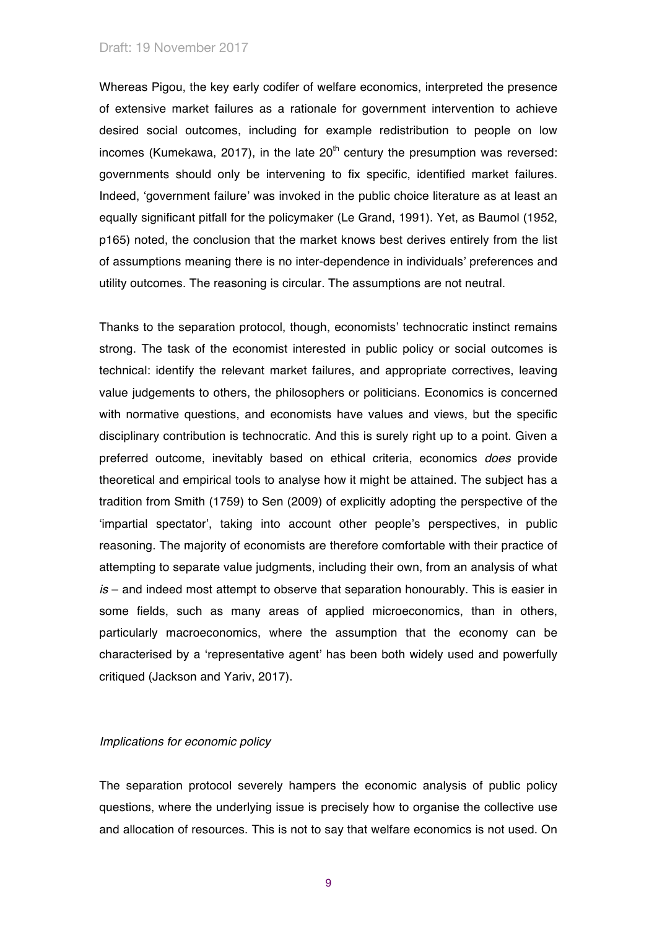Whereas Pigou, the key early codifer of welfare economics, interpreted the presence of extensive market failures as a rationale for government intervention to achieve desired social outcomes, including for example redistribution to people on low incomes (Kumekawa, 2017), in the late  $20<sup>th</sup>$  century the presumption was reversed: governments should only be intervening to fix specific, identified market failures. Indeed, 'government failure' was invoked in the public choice literature as at least an equally significant pitfall for the policymaker (Le Grand, 1991). Yet, as Baumol (1952, p165) noted, the conclusion that the market knows best derives entirely from the list of assumptions meaning there is no inter-dependence in individuals' preferences and utility outcomes. The reasoning is circular. The assumptions are not neutral.

Thanks to the separation protocol, though, economists' technocratic instinct remains strong. The task of the economist interested in public policy or social outcomes is technical: identify the relevant market failures, and appropriate correctives, leaving value judgements to others, the philosophers or politicians. Economics is concerned with normative questions, and economists have values and views, but the specific disciplinary contribution is technocratic. And this is surely right up to a point. Given a preferred outcome, inevitably based on ethical criteria, economics *does* provide theoretical and empirical tools to analyse how it might be attained. The subject has a tradition from Smith (1759) to Sen (2009) of explicitly adopting the perspective of the 'impartial spectator', taking into account other people's perspectives, in public reasoning. The majority of economists are therefore comfortable with their practice of attempting to separate value judgments, including their own, from an analysis of what *is* – and indeed most attempt to observe that separation honourably. This is easier in some fields, such as many areas of applied microeconomics, than in others, particularly macroeconomics, where the assumption that the economy can be characterised by a 'representative agent' has been both widely used and powerfully critiqued (Jackson and Yariv, 2017).

#### *Implications for economic policy*

The separation protocol severely hampers the economic analysis of public policy questions, where the underlying issue is precisely how to organise the collective use and allocation of resources. This is not to say that welfare economics is not used. On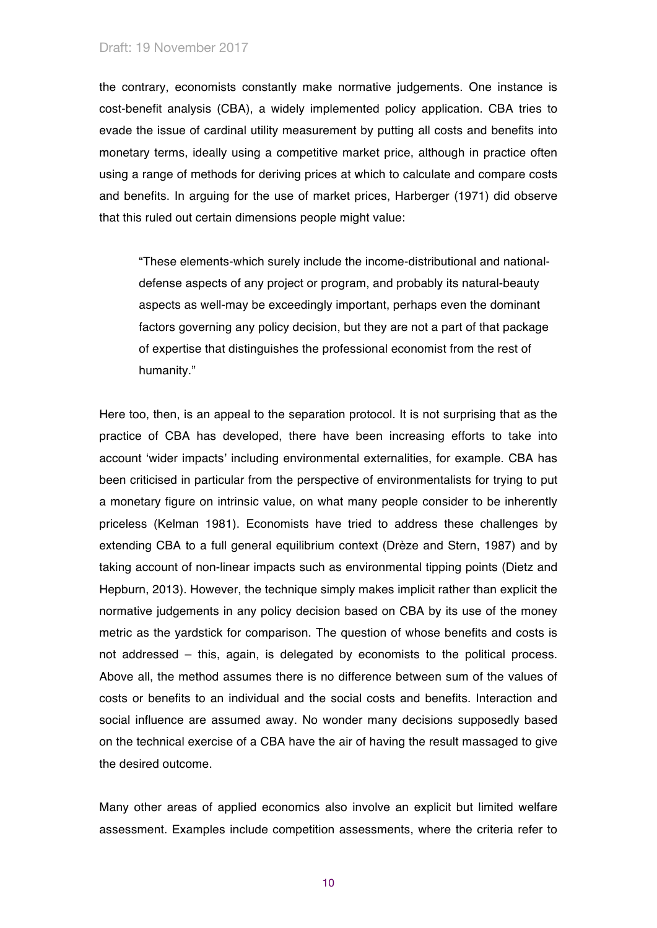the contrary, economists constantly make normative judgements. One instance is cost-benefit analysis (CBA), a widely implemented policy application. CBA tries to evade the issue of cardinal utility measurement by putting all costs and benefits into monetary terms, ideally using a competitive market price, although in practice often using a range of methods for deriving prices at which to calculate and compare costs and benefits. In arguing for the use of market prices, Harberger (1971) did observe that this ruled out certain dimensions people might value:

"These elements-which surely include the income-distributional and nationaldefense aspects of any project or program, and probably its natural-beauty aspects as well-may be exceedingly important, perhaps even the dominant factors governing any policy decision, but they are not a part of that package of expertise that distinguishes the professional economist from the rest of humanity."

Here too, then, is an appeal to the separation protocol. It is not surprising that as the practice of CBA has developed, there have been increasing efforts to take into account 'wider impacts' including environmental externalities, for example. CBA has been criticised in particular from the perspective of environmentalists for trying to put a monetary figure on intrinsic value, on what many people consider to be inherently priceless (Kelman 1981). Economists have tried to address these challenges by extending CBA to a full general equilibrium context (Drèze and Stern, 1987) and by taking account of non-linear impacts such as environmental tipping points (Dietz and Hepburn, 2013). However, the technique simply makes implicit rather than explicit the normative judgements in any policy decision based on CBA by its use of the money metric as the yardstick for comparison. The question of whose benefits and costs is not addressed – this, again, is delegated by economists to the political process. Above all, the method assumes there is no difference between sum of the values of costs or benefits to an individual and the social costs and benefits. Interaction and social influence are assumed away. No wonder many decisions supposedly based on the technical exercise of a CBA have the air of having the result massaged to give the desired outcome.

Many other areas of applied economics also involve an explicit but limited welfare assessment. Examples include competition assessments, where the criteria refer to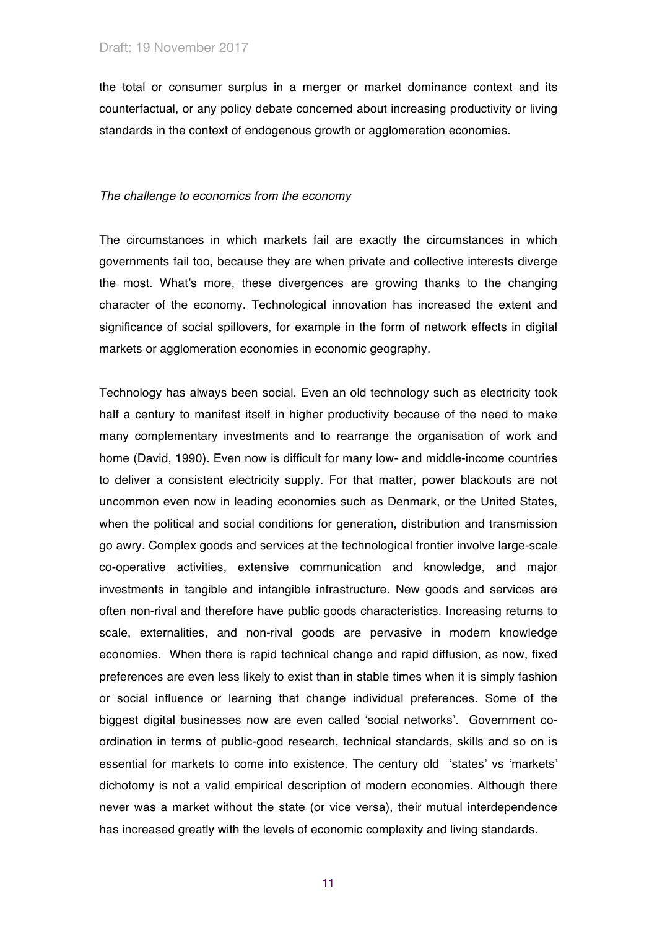the total or consumer surplus in a merger or market dominance context and its counterfactual, or any policy debate concerned about increasing productivity or living standards in the context of endogenous growth or agglomeration economies.

## *The challenge to economics from the economy*

The circumstances in which markets fail are exactly the circumstances in which governments fail too, because they are when private and collective interests diverge the most. What's more, these divergences are growing thanks to the changing character of the economy. Technological innovation has increased the extent and significance of social spillovers, for example in the form of network effects in digital markets or agglomeration economies in economic geography.

Technology has always been social. Even an old technology such as electricity took half a century to manifest itself in higher productivity because of the need to make many complementary investments and to rearrange the organisation of work and home (David, 1990). Even now is difficult for many low- and middle-income countries to deliver a consistent electricity supply. For that matter, power blackouts are not uncommon even now in leading economies such as Denmark, or the United States, when the political and social conditions for generation, distribution and transmission go awry. Complex goods and services at the technological frontier involve large-scale co-operative activities, extensive communication and knowledge, and major investments in tangible and intangible infrastructure. New goods and services are often non-rival and therefore have public goods characteristics. Increasing returns to scale, externalities, and non-rival goods are pervasive in modern knowledge economies. When there is rapid technical change and rapid diffusion, as now, fixed preferences are even less likely to exist than in stable times when it is simply fashion or social influence or learning that change individual preferences. Some of the biggest digital businesses now are even called 'social networks'. Government coordination in terms of public-good research, technical standards, skills and so on is essential for markets to come into existence. The century old 'states' vs 'markets' dichotomy is not a valid empirical description of modern economies. Although there never was a market without the state (or vice versa), their mutual interdependence has increased greatly with the levels of economic complexity and living standards.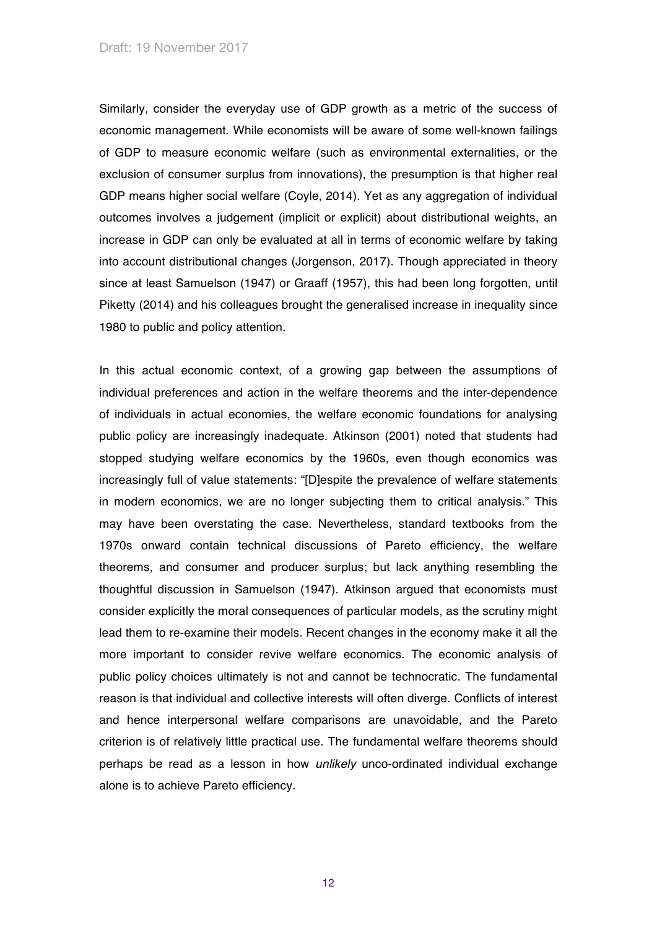Similarly, consider the everyday use of GDP growth as a metric of the success of economic management. While economists will be aware of some well-known failings of GDP to measure economic welfare (such as environmental externalities, or the exclusion of consumer surplus from innovations), the presumption is that higher real GDP means higher social welfare (Coyle, 2014). Yet as any aggregation of individual outcomes involves a judgement (implicit or explicit) about distributional weights, an increase in GDP can only be evaluated at all in terms of economic welfare by taking into account distributional changes (Jorgenson, 2017). Though appreciated in theory since at least Samuelson (1947) or Graaff (1957), this had been long forgotten, until Piketty (2014) and his colleagues brought the generalised increase in inequality since 1980 to public and policy attention.

In this actual economic context, of a growing gap between the assumptions of individual preferences and action in the welfare theorems and the inter-dependence of individuals in actual economies, the welfare economic foundations for analysing public policy are increasingly inadequate. Atkinson (2001) noted that students had stopped studying welfare economics by the 1960s, even though economics was increasingly full of value statements: "[D]espite the prevalence of welfare statements in modern economics, we are no longer subjecting them to critical analysis." This may have been overstating the case. Nevertheless, standard textbooks from the 1970s onward contain technical discussions of Pareto efficiency, the welfare theorems, and consumer and producer surplus; but lack anything resembling the thoughtful discussion in Samuelson (1947). Atkinson argued that economists must consider explicitly the moral consequences of particular models, as the scrutiny might lead them to re-examine their models. Recent changes in the economy make it all the more important to consider revive welfare economics. The economic analysis of public policy choices ultimately is not and cannot be technocratic. The fundamental reason is that individual and collective interests will often diverge. Conflicts of interest and hence interpersonal welfare comparisons are unavoidable, and the Pareto criterion is of relatively little practical use. The fundamental welfare theorems should perhaps be read as a lesson in how *unlikely* unco-ordinated individual exchange alone is to achieve Pareto efficiency.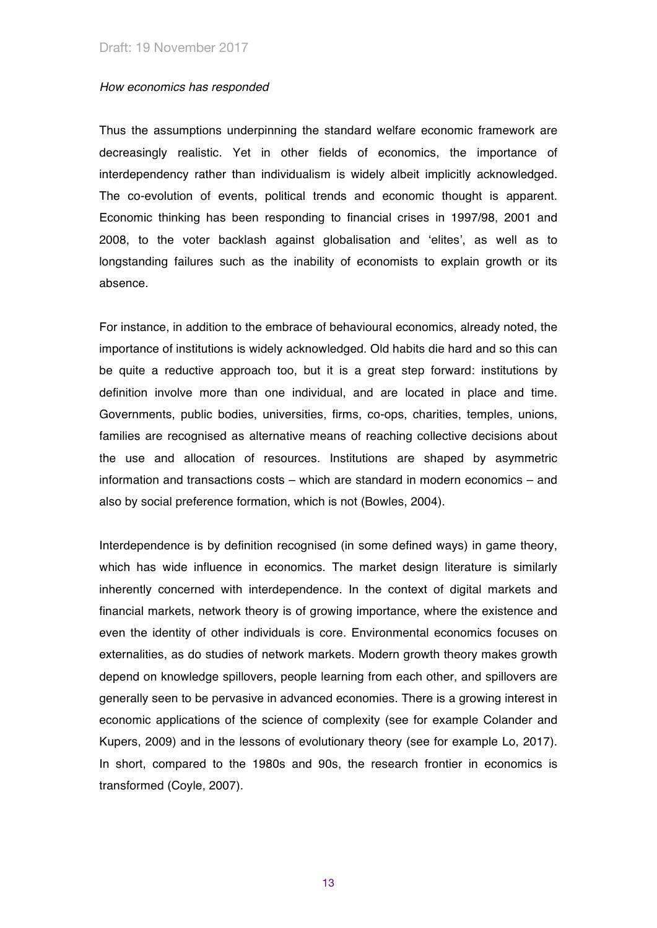#### *How economics has responded*

Thus the assumptions underpinning the standard welfare economic framework are decreasingly realistic. Yet in other fields of economics, the importance of interdependency rather than individualism is widely albeit implicitly acknowledged. The co-evolution of events, political trends and economic thought is apparent. Economic thinking has been responding to financial crises in 1997/98, 2001 and 2008, to the voter backlash against globalisation and 'elites', as well as to longstanding failures such as the inability of economists to explain growth or its absence.

For instance, in addition to the embrace of behavioural economics, already noted, the importance of institutions is widely acknowledged. Old habits die hard and so this can be quite a reductive approach too, but it is a great step forward: institutions by definition involve more than one individual, and are located in place and time. Governments, public bodies, universities, firms, co-ops, charities, temples, unions, families are recognised as alternative means of reaching collective decisions about the use and allocation of resources. Institutions are shaped by asymmetric information and transactions costs – which are standard in modern economics – and also by social preference formation, which is not (Bowles, 2004).

Interdependence is by definition recognised (in some defined ways) in game theory, which has wide influence in economics. The market design literature is similarly inherently concerned with interdependence. In the context of digital markets and financial markets, network theory is of growing importance, where the existence and even the identity of other individuals is core. Environmental economics focuses on externalities, as do studies of network markets. Modern growth theory makes growth depend on knowledge spillovers, people learning from each other, and spillovers are generally seen to be pervasive in advanced economies. There is a growing interest in economic applications of the science of complexity (see for example Colander and Kupers, 2009) and in the lessons of evolutionary theory (see for example Lo, 2017). In short, compared to the 1980s and 90s, the research frontier in economics is transformed (Coyle, 2007).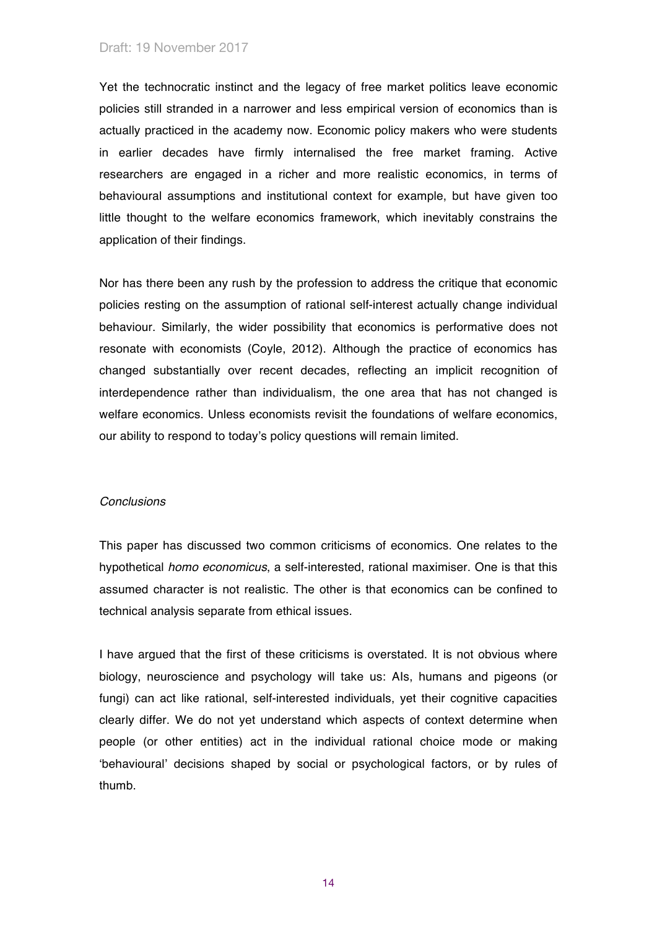Yet the technocratic instinct and the legacy of free market politics leave economic policies still stranded in a narrower and less empirical version of economics than is actually practiced in the academy now. Economic policy makers who were students in earlier decades have firmly internalised the free market framing. Active researchers are engaged in a richer and more realistic economics, in terms of behavioural assumptions and institutional context for example, but have given too little thought to the welfare economics framework, which inevitably constrains the application of their findings.

Nor has there been any rush by the profession to address the critique that economic policies resting on the assumption of rational self-interest actually change individual behaviour. Similarly, the wider possibility that economics is performative does not resonate with economists (Coyle, 2012). Although the practice of economics has changed substantially over recent decades, reflecting an implicit recognition of interdependence rather than individualism, the one area that has not changed is welfare economics. Unless economists revisit the foundations of welfare economics, our ability to respond to today's policy questions will remain limited.

## *Conclusions*

This paper has discussed two common criticisms of economics. One relates to the hypothetical *homo economicus*, a self-interested, rational maximiser. One is that this assumed character is not realistic. The other is that economics can be confined to technical analysis separate from ethical issues.

I have argued that the first of these criticisms is overstated. It is not obvious where biology, neuroscience and psychology will take us: AIs, humans and pigeons (or fungi) can act like rational, self-interested individuals, yet their cognitive capacities clearly differ. We do not yet understand which aspects of context determine when people (or other entities) act in the individual rational choice mode or making 'behavioural' decisions shaped by social or psychological factors, or by rules of thumb.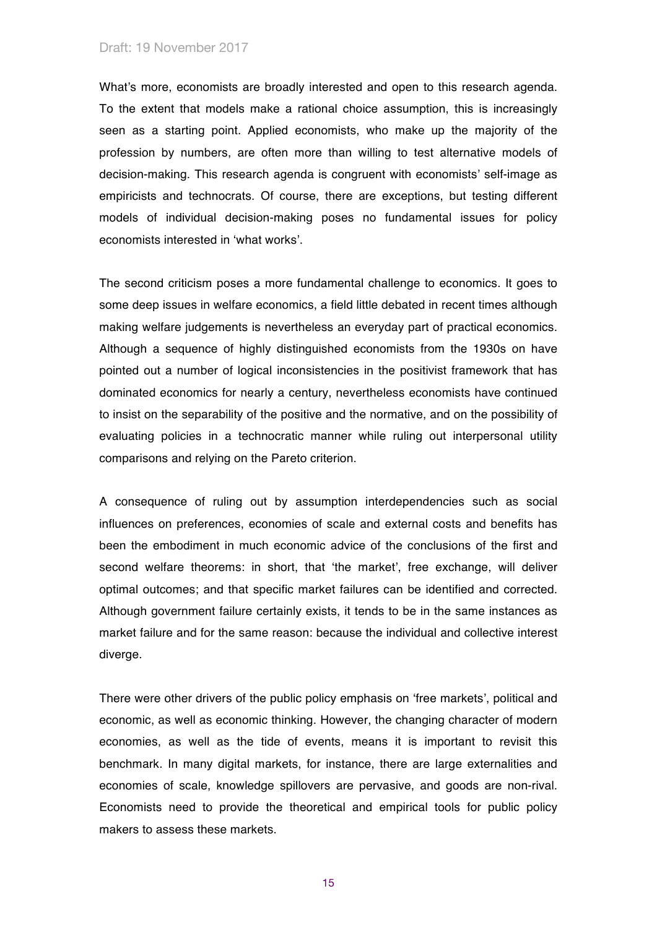What's more, economists are broadly interested and open to this research agenda. To the extent that models make a rational choice assumption, this is increasingly seen as a starting point. Applied economists, who make up the majority of the profession by numbers, are often more than willing to test alternative models of decision-making. This research agenda is congruent with economists' self-image as empiricists and technocrats. Of course, there are exceptions, but testing different models of individual decision-making poses no fundamental issues for policy economists interested in 'what works'.

The second criticism poses a more fundamental challenge to economics. It goes to some deep issues in welfare economics, a field little debated in recent times although making welfare judgements is nevertheless an everyday part of practical economics. Although a sequence of highly distinguished economists from the 1930s on have pointed out a number of logical inconsistencies in the positivist framework that has dominated economics for nearly a century, nevertheless economists have continued to insist on the separability of the positive and the normative, and on the possibility of evaluating policies in a technocratic manner while ruling out interpersonal utility comparisons and relying on the Pareto criterion.

A consequence of ruling out by assumption interdependencies such as social influences on preferences, economies of scale and external costs and benefits has been the embodiment in much economic advice of the conclusions of the first and second welfare theorems: in short, that 'the market', free exchange, will deliver optimal outcomes; and that specific market failures can be identified and corrected. Although government failure certainly exists, it tends to be in the same instances as market failure and for the same reason: because the individual and collective interest diverge.

There were other drivers of the public policy emphasis on 'free markets', political and economic, as well as economic thinking. However, the changing character of modern economies, as well as the tide of events, means it is important to revisit this benchmark. In many digital markets, for instance, there are large externalities and economies of scale, knowledge spillovers are pervasive, and goods are non-rival. Economists need to provide the theoretical and empirical tools for public policy makers to assess these markets.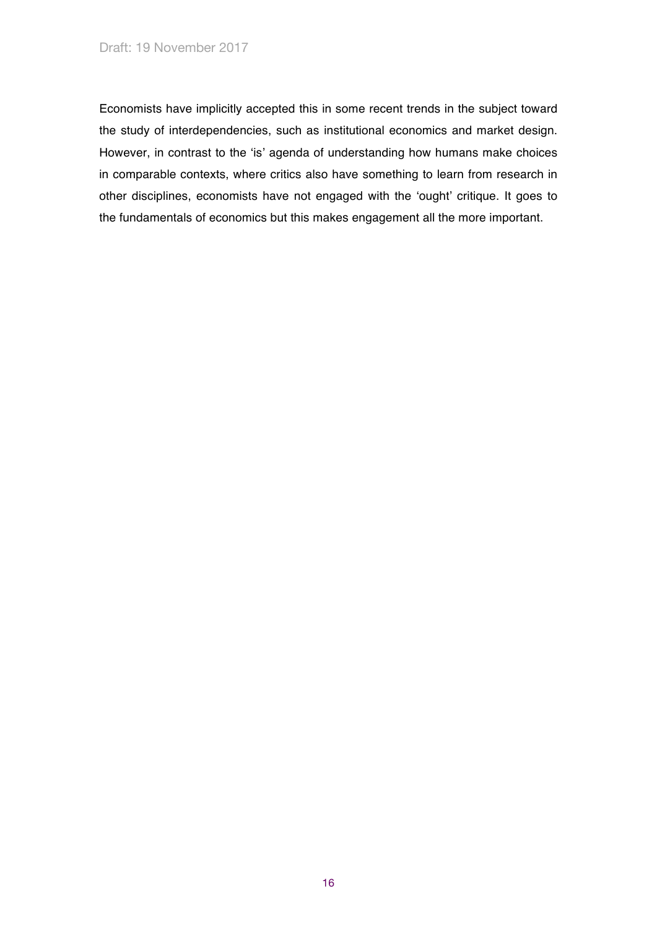Economists have implicitly accepted this in some recent trends in the subject toward the study of interdependencies, such as institutional economics and market design. However, in contrast to the 'is' agenda of understanding how humans make choices in comparable contexts, where critics also have something to learn from research in other disciplines, economists have not engaged with the 'ought' critique. It goes to the fundamentals of economics but this makes engagement all the more important.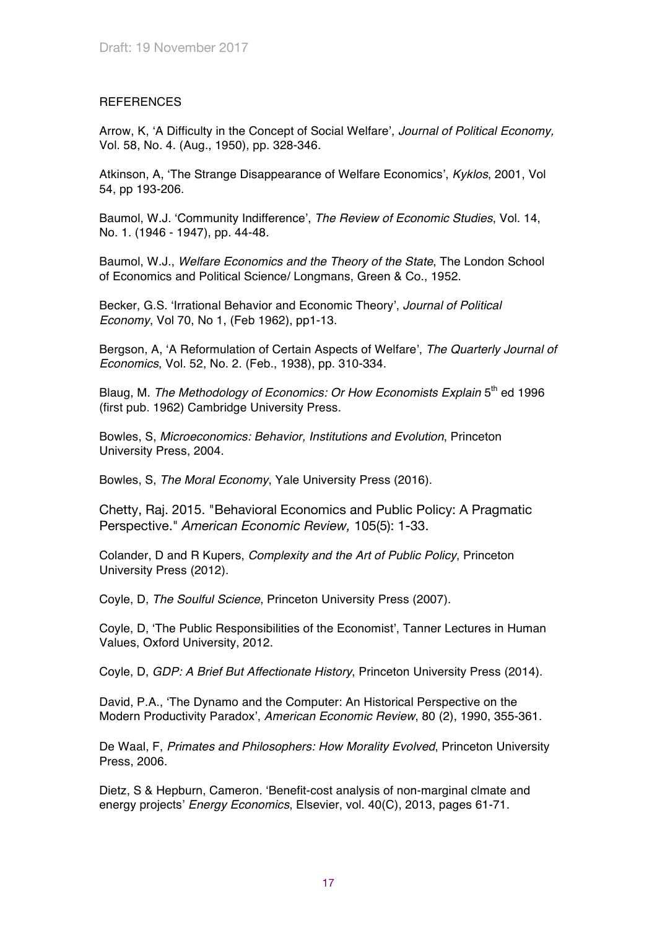# **REFERENCES**

Arrow, K, 'A Difficulty in the Concept of Social Welfare', *Journal of Political Economy,*  Vol. 58, No. 4. (Aug., 1950), pp. 328-346.

Atkinson, A, 'The Strange Disappearance of Welfare Economics', *Kyklos*, 2001, Vol 54, pp 193-206.

Baumol, W.J. 'Community Indifference', *The Review of Economic Studies*, Vol. 14, No. 1. (1946 - 1947), pp. 44-48.

Baumol, W.J., *Welfare Economics and the Theory of the State*, The London School of Economics and Political Science/ Longmans, Green & Co., 1952.

Becker, G.S. 'Irrational Behavior and Economic Theory', *Journal of Political Economy*, Vol 70, No 1, (Feb 1962), pp1-13.

Bergson, A, 'A Reformulation of Certain Aspects of Welfare', *The Quarterly Journal of Economics*, Vol. 52, No. 2. (Feb., 1938), pp. 310-334.

Blaug, M. *The Methodology of Economics: Or How Economists Explain* 5<sup>th</sup> ed 1996 (first pub. 1962) Cambridge University Press.

Bowles, S, *Microeconomics: Behavior, Institutions and Evolution*, Princeton University Press, 2004.

Bowles, S, *The Moral Economy*, Yale University Press (2016).

Chetty, Raj. 2015. "Behavioral Economics and Public Policy: A Pragmatic Perspective." *American Economic Review,* 105(5): 1-33.

Colander, D and R Kupers, *Complexity and the Art of Public Policy*, Princeton University Press (2012).

Coyle, D, *The Soulful Science*, Princeton University Press (2007).

Coyle, D, 'The Public Responsibilities of the Economist', Tanner Lectures in Human Values, Oxford University, 2012.

Coyle, D, *GDP: A Brief But Affectionate History*, Princeton University Press (2014).

David, P.A., 'The Dynamo and the Computer: An Historical Perspective on the Modern Productivity Paradox', *American Economic Review*, 80 (2), 1990, 355-361.

De Waal, F, *Primates and Philosophers: How Morality Evolved*, Princeton University Press, 2006.

Dietz, S & Hepburn, Cameron. 'Benefit-cost analysis of non-marginal clmate and energy projects' *Energy Economics*, Elsevier, vol. 40(C), 2013, pages 61-71.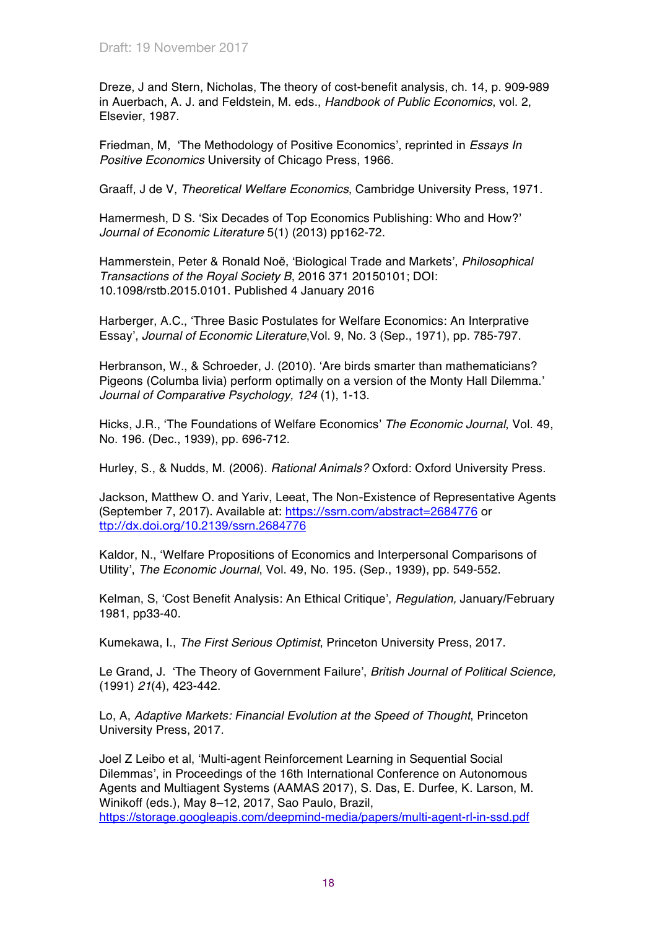Dreze, J and Stern, Nicholas, The theory of cost-benefit analysis, ch. 14, p. 909-989 in Auerbach, A. J. and Feldstein, M. eds., *Handbook of Public Economics*, vol. 2, Elsevier, 1987.

Friedman, M, 'The Methodology of Positive Economics', reprinted in *Essays In Positive Economics* University of Chicago Press, 1966.

Graaff, J de V, *Theoretical Welfare Economics*, Cambridge University Press, 1971.

Hamermesh, D S. 'Six Decades of Top Economics Publishing: Who and How?' *Journal of Economic Literature* 5(1) (2013) pp162-72.

Hammerstein, Peter & Ronald Noë, 'Biological Trade and Markets', *Philosophical Transactions of the Royal Society B*, 2016 371 20150101; DOI: 10.1098/rstb.2015.0101. Published 4 January 2016

Harberger, A.C., 'Three Basic Postulates for Welfare Economics: An Interprative Essay', *Journal of Economic Literature*,Vol. 9, No. 3 (Sep., 1971), pp. 785-797.

Herbranson, W., & Schroeder, J. (2010). 'Are birds smarter than mathematicians? Pigeons (Columba livia) perform optimally on a version of the Monty Hall Dilemma.' *Journal of Comparative Psychology, 124* (1), 1-13.

Hicks, J.R., 'The Foundations of Welfare Economics' *The Economic Journal*, Vol. 49, No. 196. (Dec., 1939), pp. 696-712.

Hurley, S., & Nudds, M. (2006). *Rational Animals?* Oxford: Oxford University Press.

Jackson, Matthew O. and Yariv, Leeat, The Non-Existence of Representative Agents (September 7, 2017). Available at: https://ssrn.com/abstract=2684776 or ttp://dx.doi.org/10.2139/ssrn.2684776

Kaldor, N., 'Welfare Propositions of Economics and Interpersonal Comparisons of Utility', *The Economic Journal*, Vol. 49, No. 195. (Sep., 1939), pp. 549-552.

Kelman, S, 'Cost Benefit Analysis: An Ethical Critique', *Regulation,* January/February 1981, pp33-40.

Kumekawa, I., *The First Serious Optimist*, Princeton University Press, 2017.

Le Grand, J. 'The Theory of Government Failure', *British Journal of Political Science,* (1991) *21*(4), 423-442.

Lo, A, *Adaptive Markets: Financial Evolution at the Speed of Thought*, Princeton University Press, 2017.

Joel Z Leibo et al, 'Multi-agent Reinforcement Learning in Sequential Social Dilemmas', in Proceedings of the 16th International Conference on Autonomous Agents and Multiagent Systems (AAMAS 2017), S. Das, E. Durfee, K. Larson, M. Winikoff (eds.), May 8–12, 2017, Sao Paulo, Brazil,

https://storage.googleapis.com/deepmind-media/papers/multi-agent-rl-in-ssd.pdf